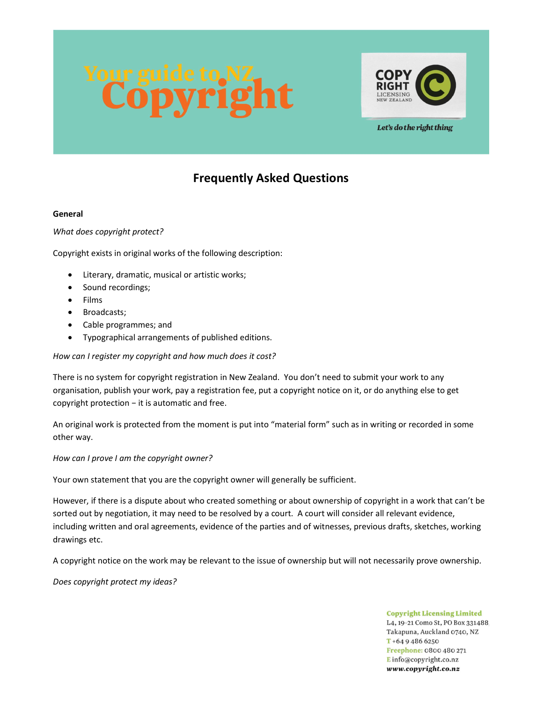



Let's do the right thing

# Frequently Asked Questions

## General

What does copyright protect?

Copyright exists in original works of the following description:

- Literary, dramatic, musical or artistic works;
- Sound recordings;
- Films
- Broadcasts;
- Cable programmes; and
- Typographical arrangements of published editions.

How can I register my copyright and how much does it cost?

There is no system for copyright registration in New Zealand. You don't need to submit your work to any organisation, publish your work, pay a registration fee, put a copyright notice on it, or do anything else to get copyright protection − it is automatic and free.

An original work is protected from the moment is put into "material form" such as in writing or recorded in some other way.

How can I prove I am the copyright owner?

Your own statement that you are the copyright owner will generally be sufficient.

However, if there is a dispute about who created something or about ownership of copyright in a work that can't be sorted out by negotiation, it may need to be resolved by a court. A court will consider all relevant evidence, including written and oral agreements, evidence of the parties and of witnesses, previous drafts, sketches, working drawings etc.

A copyright notice on the work may be relevant to the issue of ownership but will not necessarily prove ownership.

Does copyright protect my ideas?

**Copyright Licensing Limited** L4, 19-21 Como St, PO Box 331488. Takapuna, Auckland 0740, NZ  $T + 6494866250$ Freephone: 0800 480 271 Einfo@copyright.co.nz www.copyright.co.nz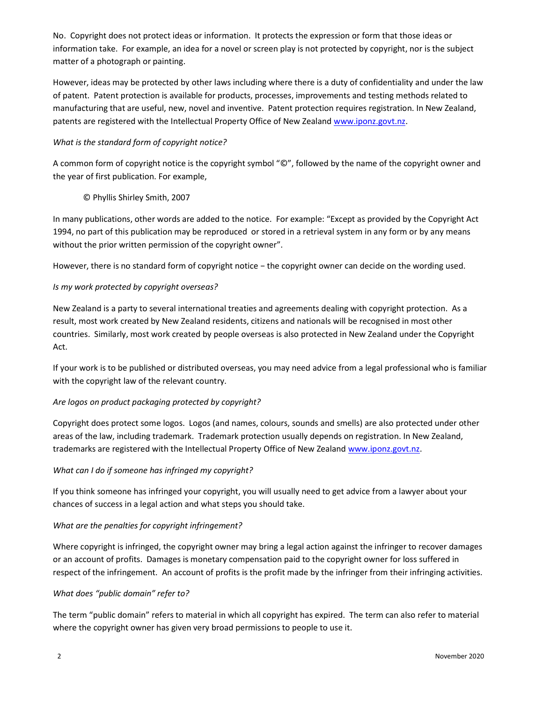No. Copyright does not protect ideas or information. It protects the expression or form that those ideas or information take. For example, an idea for a novel or screen play is not protected by copyright, nor is the subject matter of a photograph or painting.

However, ideas may be protected by other laws including where there is a duty of confidentiality and under the law of patent. Patent protection is available for products, processes, improvements and testing methods related to manufacturing that are useful, new, novel and inventive. Patent protection requires registration. In New Zealand, patents are registered with the Intellectual Property Office of New Zealand www.iponz.govt.nz.

## What is the standard form of copyright notice?

A common form of copyright notice is the copyright symbol "©", followed by the name of the copyright owner and the year of first publication. For example,

# © Phyllis Shirley Smith, 2007

In many publications, other words are added to the notice. For example: "Except as provided by the Copyright Act 1994, no part of this publication may be reproduced or stored in a retrieval system in any form or by any means without the prior written permission of the copyright owner".

However, there is no standard form of copyright notice − the copyright owner can decide on the wording used.

# Is my work protected by copyright overseas?

New Zealand is a party to several international treaties and agreements dealing with copyright protection. As a result, most work created by New Zealand residents, citizens and nationals will be recognised in most other countries. Similarly, most work created by people overseas is also protected in New Zealand under the Copyright Act.

If your work is to be published or distributed overseas, you may need advice from a legal professional who is familiar with the copyright law of the relevant country.

## Are logos on product packaging protected by copyright?

Copyright does protect some logos. Logos (and names, colours, sounds and smells) are also protected under other areas of the law, including trademark. Trademark protection usually depends on registration. In New Zealand, trademarks are registered with the Intellectual Property Office of New Zealand www.iponz.govt.nz.

## What can I do if someone has infringed my copyright?

If you think someone has infringed your copyright, you will usually need to get advice from a lawyer about your chances of success in a legal action and what steps you should take.

## What are the penalties for copyright infringement?

Where copyright is infringed, the copyright owner may bring a legal action against the infringer to recover damages or an account of profits. Damages is monetary compensation paid to the copyright owner for loss suffered in respect of the infringement. An account of profits is the profit made by the infringer from their infringing activities.

## What does "public domain" refer to?

The term "public domain" refers to material in which all copyright has expired. The term can also refer to material where the copyright owner has given very broad permissions to people to use it.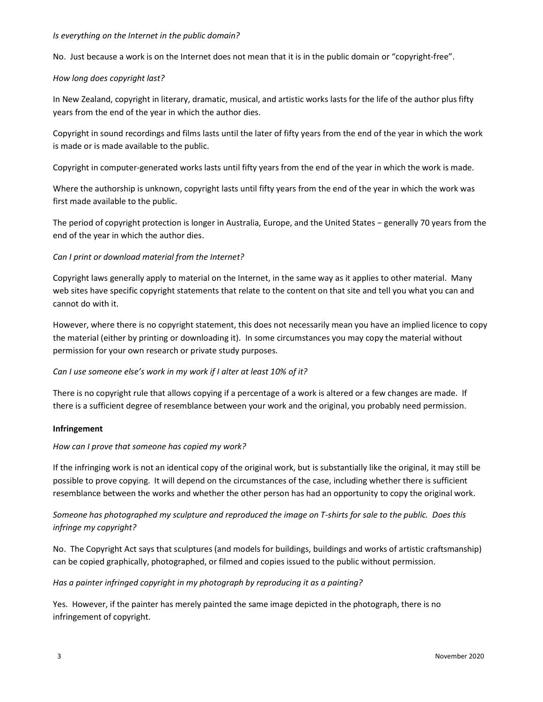#### Is everything on the Internet in the public domain?

No. Just because a work is on the Internet does not mean that it is in the public domain or "copyright-free".

## How long does copyright last?

In New Zealand, copyright in literary, dramatic, musical, and artistic works lasts for the life of the author plus fifty years from the end of the year in which the author dies.

Copyright in sound recordings and films lasts until the later of fifty years from the end of the year in which the work is made or is made available to the public.

Copyright in computer-generated works lasts until fifty years from the end of the year in which the work is made.

Where the authorship is unknown, copyright lasts until fifty years from the end of the year in which the work was first made available to the public.

The period of copyright protection is longer in Australia, Europe, and the United States − generally 70 years from the end of the year in which the author dies.

## Can I print or download material from the Internet?

Copyright laws generally apply to material on the Internet, in the same way as it applies to other material. Many web sites have specific copyright statements that relate to the content on that site and tell you what you can and cannot do with it.

However, where there is no copyright statement, this does not necessarily mean you have an implied licence to copy the material (either by printing or downloading it). In some circumstances you may copy the material without permission for your own research or private study purposes.

## Can I use someone else's work in my work if I alter at least 10% of it?

There is no copyright rule that allows copying if a percentage of a work is altered or a few changes are made. If there is a sufficient degree of resemblance between your work and the original, you probably need permission.

## Infringement

## How can I prove that someone has copied my work?

If the infringing work is not an identical copy of the original work, but is substantially like the original, it may still be possible to prove copying. It will depend on the circumstances of the case, including whether there is sufficient resemblance between the works and whether the other person has had an opportunity to copy the original work.

# Someone has photographed my sculpture and reproduced the image on T-shirts for sale to the public. Does this infringe my copyright?

No. The Copyright Act says that sculptures (and models for buildings, buildings and works of artistic craftsmanship) can be copied graphically, photographed, or filmed and copies issued to the public without permission.

## Has a painter infringed copyright in my photograph by reproducing it as a painting?

Yes. However, if the painter has merely painted the same image depicted in the photograph, there is no infringement of copyright.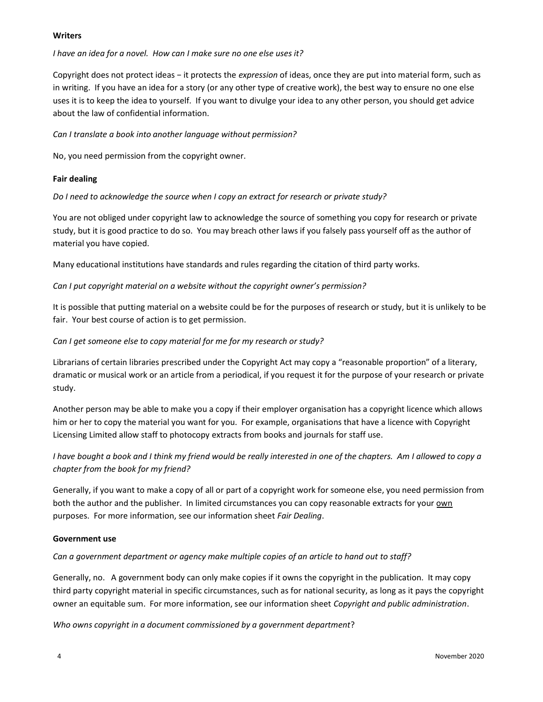## **Writers**

## I have an idea for a novel. How can I make sure no one else uses it?

Copyright does not protect ideas – it protects the *expression* of ideas, once they are put into material form, such as in writing. If you have an idea for a story (or any other type of creative work), the best way to ensure no one else uses it is to keep the idea to yourself. If you want to divulge your idea to any other person, you should get advice about the law of confidential information.

Can I translate a book into another language without permission?

No, you need permission from the copyright owner.

## Fair dealing

Do I need to acknowledge the source when I copy an extract for research or private study?

You are not obliged under copyright law to acknowledge the source of something you copy for research or private study, but it is good practice to do so. You may breach other laws if you falsely pass yourself off as the author of material you have copied.

Many educational institutions have standards and rules regarding the citation of third party works.

## Can I put copyright material on a website without the copyright owner's permission?

It is possible that putting material on a website could be for the purposes of research or study, but it is unlikely to be fair. Your best course of action is to get permission.

## Can I get someone else to copy material for me for my research or study?

Librarians of certain libraries prescribed under the Copyright Act may copy a "reasonable proportion" of a literary, dramatic or musical work or an article from a periodical, if you request it for the purpose of your research or private study.

Another person may be able to make you a copy if their employer organisation has a copyright licence which allows him or her to copy the material you want for you. For example, organisations that have a licence with Copyright Licensing Limited allow staff to photocopy extracts from books and journals for staff use.

# I have bought a book and I think my friend would be really interested in one of the chapters. Am I allowed to copy a chapter from the book for my friend?

Generally, if you want to make a copy of all or part of a copyright work for someone else, you need permission from both the author and the publisher. In limited circumstances you can copy reasonable extracts for your own purposes. For more information, see our information sheet Fair Dealing.

## Government use

Can a government department or agency make multiple copies of an article to hand out to staff?

Generally, no. A government body can only make copies if it owns the copyright in the publication. It may copy third party copyright material in specific circumstances, such as for national security, as long as it pays the copyright owner an equitable sum. For more information, see our information sheet Copyright and public administration.

Who owns copyright in a document commissioned by a government department?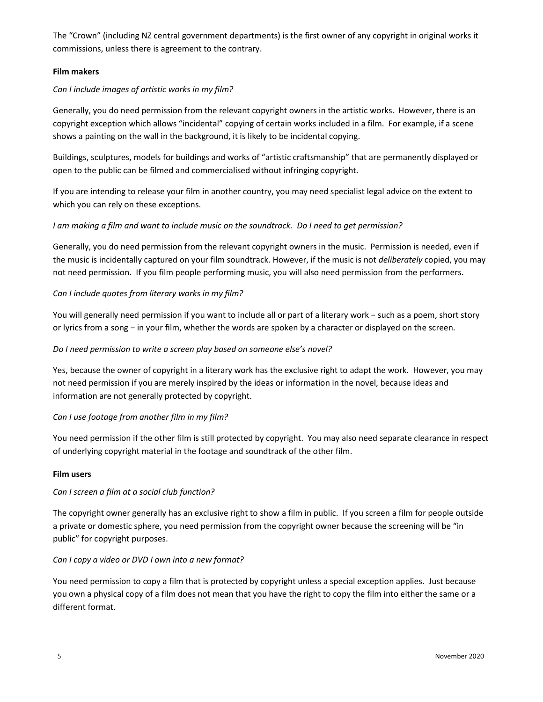The "Crown" (including NZ central government departments) is the first owner of any copyright in original works it commissions, unless there is agreement to the contrary.

## Film makers

## Can I include images of artistic works in my film?

Generally, you do need permission from the relevant copyright owners in the artistic works. However, there is an copyright exception which allows "incidental" copying of certain works included in a film. For example, if a scene shows a painting on the wall in the background, it is likely to be incidental copying.

Buildings, sculptures, models for buildings and works of "artistic craftsmanship" that are permanently displayed or open to the public can be filmed and commercialised without infringing copyright.

If you are intending to release your film in another country, you may need specialist legal advice on the extent to which you can rely on these exceptions.

## I am making a film and want to include music on the soundtrack. Do I need to get permission?

Generally, you do need permission from the relevant copyright owners in the music. Permission is needed, even if the music is incidentally captured on your film soundtrack. However, if the music is not *deliberately* copied, you may not need permission. If you film people performing music, you will also need permission from the performers.

## Can I include quotes from literary works in my film?

You will generally need permission if you want to include all or part of a literary work − such as a poem, short story or lyrics from a song − in your film, whether the words are spoken by a character or displayed on the screen.

## Do I need permission to write a screen play based on someone else's novel?

Yes, because the owner of copyright in a literary work has the exclusive right to adapt the work. However, you may not need permission if you are merely inspired by the ideas or information in the novel, because ideas and information are not generally protected by copyright.

## Can I use footage from another film in my film?

You need permission if the other film is still protected by copyright. You may also need separate clearance in respect of underlying copyright material in the footage and soundtrack of the other film.

## Film users

## Can I screen a film at a social club function?

The copyright owner generally has an exclusive right to show a film in public. If you screen a film for people outside a private or domestic sphere, you need permission from the copyright owner because the screening will be "in public" for copyright purposes.

## Can I copy a video or DVD I own into a new format?

You need permission to copy a film that is protected by copyright unless a special exception applies. Just because you own a physical copy of a film does not mean that you have the right to copy the film into either the same or a different format.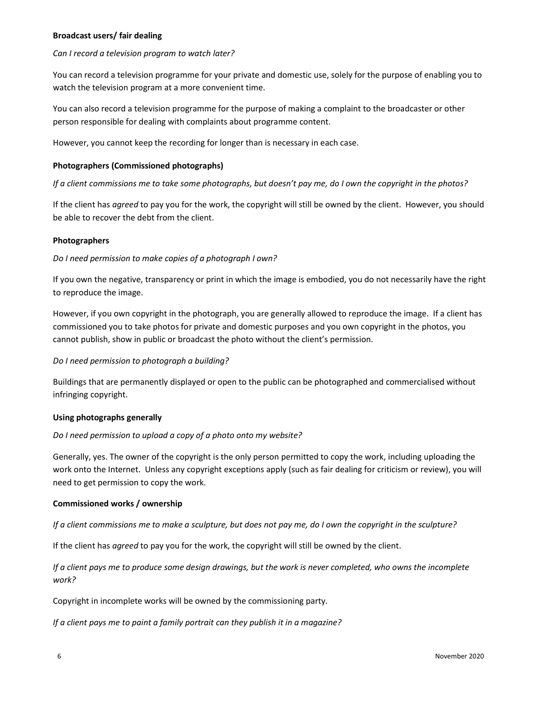#### Broadcast users/ fair dealing

#### Can I record a television program to watch later?

You can record a television programme for your private and domestic use, solely for the purpose of enabling you to watch the television program at a more convenient time.

You can also record a television programme for the purpose of making a complaint to the broadcaster or other person responsible for dealing with complaints about programme content.

However, you cannot keep the recording for longer than is necessary in each case.

### Photographers (Commissioned photographs)

If a client commissions me to take some photographs, but doesn't pay me, do I own the copyright in the photos?

If the client has agreed to pay you for the work, the copyright will still be owned by the client. However, you should be able to recover the debt from the client.

#### Photographers

#### Do I need permission to make copies of a photograph I own?

If you own the negative, transparency or print in which the image is embodied, you do not necessarily have the right to reproduce the image.

However, if you own copyright in the photograph, you are generally allowed to reproduce the image. If a client has commissioned you to take photos for private and domestic purposes and you own copyright in the photos, you cannot publish, show in public or broadcast the photo without the client's permission.

## Do I need permission to photograph a building?

Buildings that are permanently displayed or open to the public can be photographed and commercialised without infringing copyright.

#### Using photographs generally

#### Do I need permission to upload a copy of a photo onto my website?

Generally, yes. The owner of the copyright is the only person permitted to copy the work, including uploading the work onto the Internet. Unless any copyright exceptions apply (such as fair dealing for criticism or review), you will need to get permission to copy the work.

#### Commissioned works / ownership

If a client commissions me to make a sculpture, but does not pay me, do I own the copyright in the sculpture?

If the client has agreed to pay you for the work, the copyright will still be owned by the client.

If a client pays me to produce some design drawings, but the work is never completed, who owns the incomplete work?

Copyright in incomplete works will be owned by the commissioning party.

If a client pays me to paint a family portrait can they publish it in a magazine?